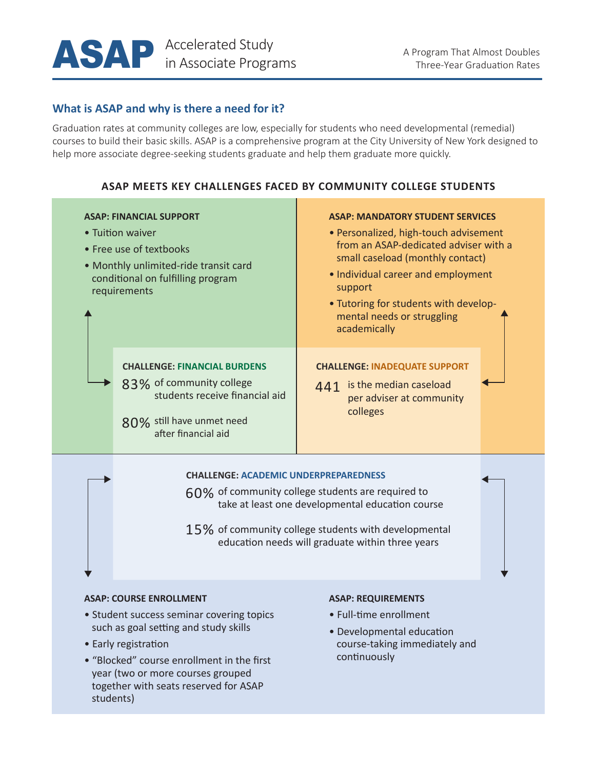

## **What is ASAP and why is there a need for it?**

Graduation rates at community colleges are low, especially for students who need developmental (remedial) courses to build their basic skills. ASAP is a comprehensive program at the City University of New York designed to help more associate degree-seeking students graduate and help them graduate more quickly.

## **ASAP MEETS KEY CHALLENGES FACED BY COMMUNITY COLLEGE STUDENTS**

| <b>ASAP: FINANCIAL SUPPORT</b><br>• Tuition waiver<br>• Free use of textbooks<br>• Monthly unlimited-ride transit card<br>conditional on fulfilling program<br>requirements |                                                                                                                                                       | <b>ASAP: MANDATORY STUDENT SERVICES</b><br>• Personalized, high-touch advisement<br>from an ASAP-dedicated adviser with a<br>small caseload (monthly contact)<br>• Individual career and employment<br>support<br>• Tutoring for students with develop-<br>mental needs or struggling<br>academically |  |
|-----------------------------------------------------------------------------------------------------------------------------------------------------------------------------|-------------------------------------------------------------------------------------------------------------------------------------------------------|-------------------------------------------------------------------------------------------------------------------------------------------------------------------------------------------------------------------------------------------------------------------------------------------------------|--|
|                                                                                                                                                                             | <b>CHALLENGE: FINANCIAL BURDENS</b><br>83% of community college<br>students receive financial aid<br>80% still have unmet need<br>after financial aid | <b>CHALLENGE: INADEQUATE SUPPORT</b><br>is the median caseload<br>441<br>per adviser at community<br>colleges                                                                                                                                                                                         |  |

### **CHALLENGE: ACADEMIC UNDERPREPAREDNESS**

60% of community college students are required to take at least one developmental education course

 $15\%$  of community college students with developmental education needs will graduate within three years

#### **ASAP: COURSE ENROLLMENT**

- Student success seminar covering topics such as goal setting and study skills
- Early registration
- "Blocked" course enrollment in the first year (two or more courses grouped together with seats reserved for ASAP students)

#### **ASAP: REQUIREMENTS**

- Full-time enrollment
- Developmental education course-taking immediately and continuously